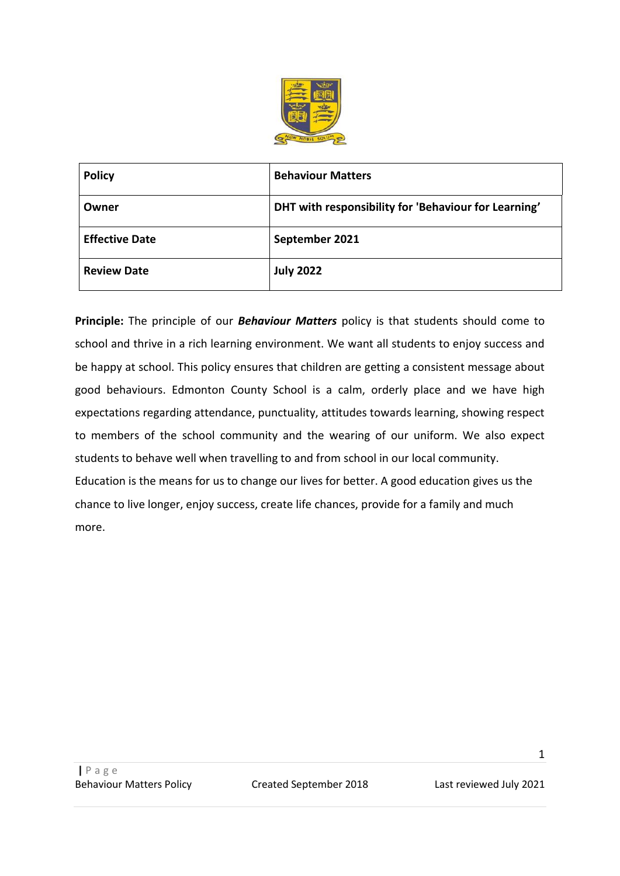

| <b>Policy</b>         | <b>Behaviour Matters</b>                             |
|-----------------------|------------------------------------------------------|
| Owner                 | DHT with responsibility for 'Behaviour for Learning' |
| <b>Effective Date</b> | September 2021                                       |
| <b>Review Date</b>    | <b>July 2022</b>                                     |

**Principle:** The principle of our *Behaviour Matters* policy is that students should come to school and thrive in a rich learning environment. We want all students to enjoy success and be happy at school. This policy ensures that children are getting a consistent message about good behaviours. Edmonton County School is a calm, orderly place and we have high expectations regarding attendance, punctuality, attitudes towards learning, showing respect to members of the school community and the wearing of our uniform. We also expect students to behave well when travelling to and from school in our local community. Education is the means for us to change our lives for better. A good education gives us the chance to live longer, enjoy success, create life chances, provide for a family and much more.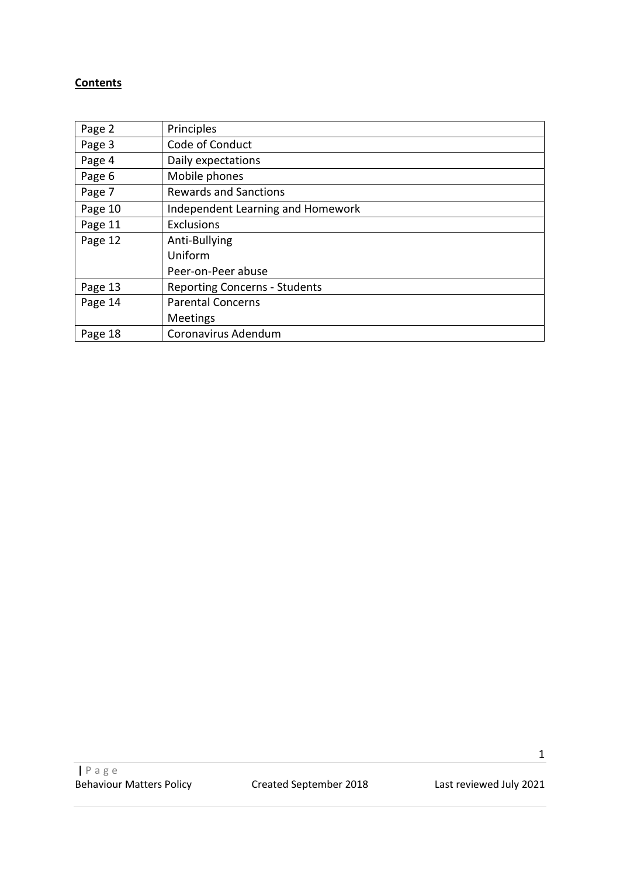## **Contents**

| Page 2  | Principles                           |
|---------|--------------------------------------|
| Page 3  | Code of Conduct                      |
| Page 4  | Daily expectations                   |
| Page 6  | Mobile phones                        |
| Page 7  | <b>Rewards and Sanctions</b>         |
| Page 10 | Independent Learning and Homework    |
| Page 11 | <b>Exclusions</b>                    |
| Page 12 | Anti-Bullying                        |
|         | Uniform                              |
|         | Peer-on-Peer abuse                   |
| Page 13 | <b>Reporting Concerns - Students</b> |
| Page 14 | <b>Parental Concerns</b>             |
|         | <b>Meetings</b>                      |
| Page 18 | Coronavirus Adendum                  |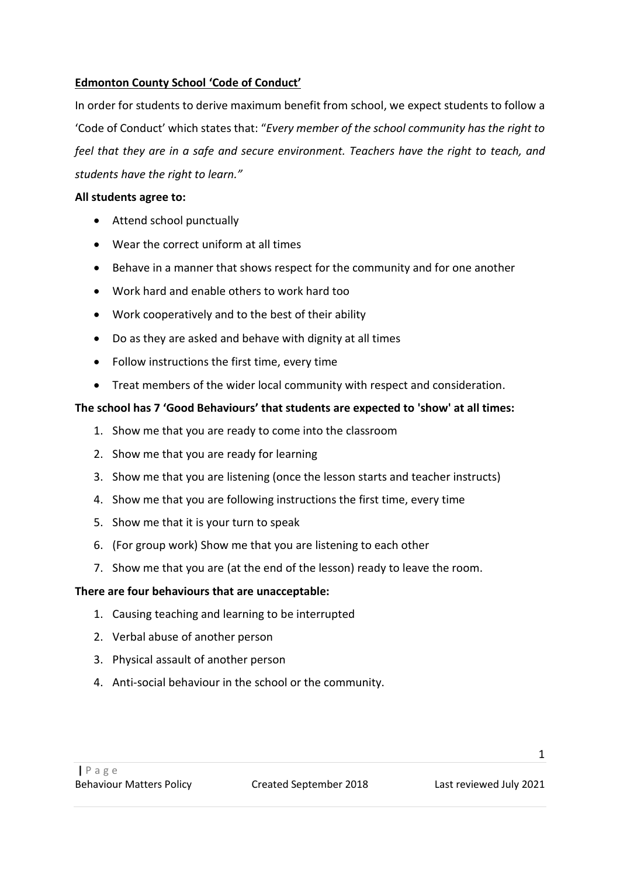### **Edmonton County School 'Code of Conduct'**

In order for students to derive maximum benefit from school, we expect students to follow a 'Code of Conduct' which states that: "*Every member of the school community has the right to feel that they are in a safe and secure environment. Teachers have the right to teach, and students have the right to learn."*

### **All students agree to:**

- Attend school punctually
- Wear the correct uniform at all times
- Behave in a manner that shows respect for the community and for one another
- Work hard and enable others to work hard too
- Work cooperatively and to the best of their ability
- Do as they are asked and behave with dignity at all times
- Follow instructions the first time, every time
- Treat members of the wider local community with respect and consideration.

### **The school has 7 'Good Behaviours' that students are expected to 'show' at all times:**

- 1. Show me that you are ready to come into the classroom
- 2. Show me that you are ready for learning
- 3. Show me that you are listening (once the lesson starts and teacher instructs)
- 4. Show me that you are following instructions the first time, every time
- 5. Show me that it is your turn to speak
- 6. (For group work) Show me that you are listening to each other
- 7. Show me that you are (at the end of the lesson) ready to leave the room.

### **There are four behaviours that are unacceptable:**

- 1. Causing teaching and learning to be interrupted
- 2. Verbal abuse of another person
- 3. Physical assault of another person
- 4. Anti-social behaviour in the school or the community.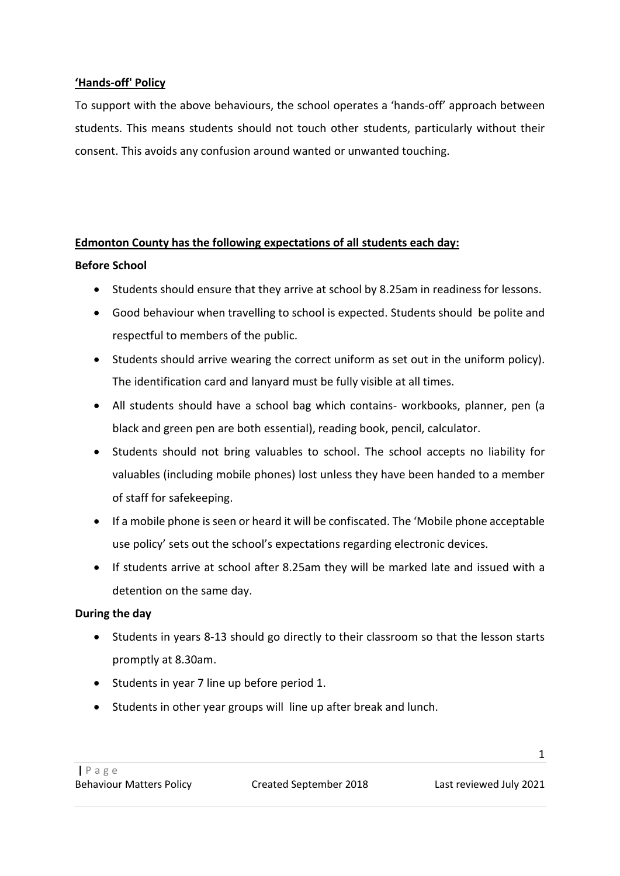### **'Hands-off' Policy**

To support with the above behaviours, the school operates a 'hands-off' approach between students. This means students should not touch other students, particularly without their consent. This avoids any confusion around wanted or unwanted touching.

### **Edmonton County has the following expectations of all students each day:**

### **Before School**

- Students should ensure that they arrive at school by 8.25am in readiness for lessons.
- Good behaviour when travelling to school is expected. Students should be polite and respectful to members of the public.
- Students should arrive wearing the correct uniform as set out in the uniform policy). The identification card and lanyard must be fully visible at all times.
- All students should have a school bag which contains- workbooks, planner, pen (a black and green pen are both essential), reading book, pencil, calculator.
- Students should not bring valuables to school. The school accepts no liability for valuables (including mobile phones) lost unless they have been handed to a member of staff for safekeeping.
- If a mobile phone is seen or heard it will be confiscated. The 'Mobile phone acceptable use policy' sets out the school's expectations regarding electronic devices.
- If students arrive at school after 8.25am they will be marked late and issued with a detention on the same day.

### **During the day**

- Students in years 8-13 should go directly to their classroom so that the lesson starts promptly at 8.30am.
- Students in year 7 line up before period 1.
- Students in other year groups will line up after break and lunch.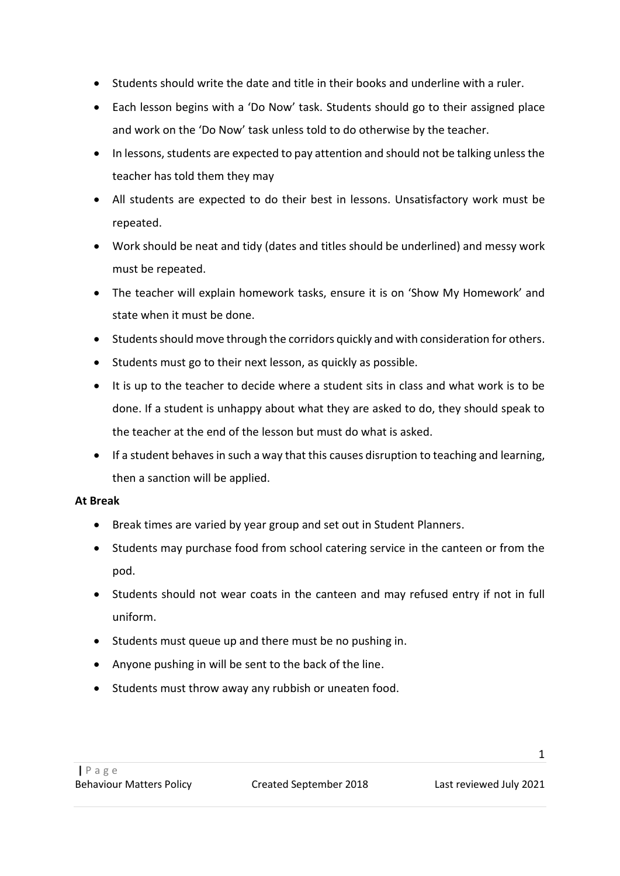- Students should write the date and title in their books and underline with a ruler.
- Each lesson begins with a 'Do Now' task. Students should go to their assigned place and work on the 'Do Now' task unless told to do otherwise by the teacher.
- In lessons, students are expected to pay attention and should not be talking unless the teacher has told them they may
- All students are expected to do their best in lessons. Unsatisfactory work must be repeated.
- Work should be neat and tidy (dates and titles should be underlined) and messy work must be repeated.
- The teacher will explain homework tasks, ensure it is on 'Show My Homework' and state when it must be done.
- Students should move through the corridors quickly and with consideration for others.
- Students must go to their next lesson, as quickly as possible.
- It is up to the teacher to decide where a student sits in class and what work is to be done. If a student is unhappy about what they are asked to do, they should speak to the teacher at the end of the lesson but must do what is asked.
- If a student behaves in such a way that this causes disruption to teaching and learning, then a sanction will be applied.

## **At Break**

- Break times are varied by year group and set out in Student Planners.
- Students may purchase food from school catering service in the canteen or from the pod.
- Students should not wear coats in the canteen and may refused entry if not in full uniform.
- Students must queue up and there must be no pushing in.
- Anyone pushing in will be sent to the back of the line.
- Students must throw away any rubbish or uneaten food.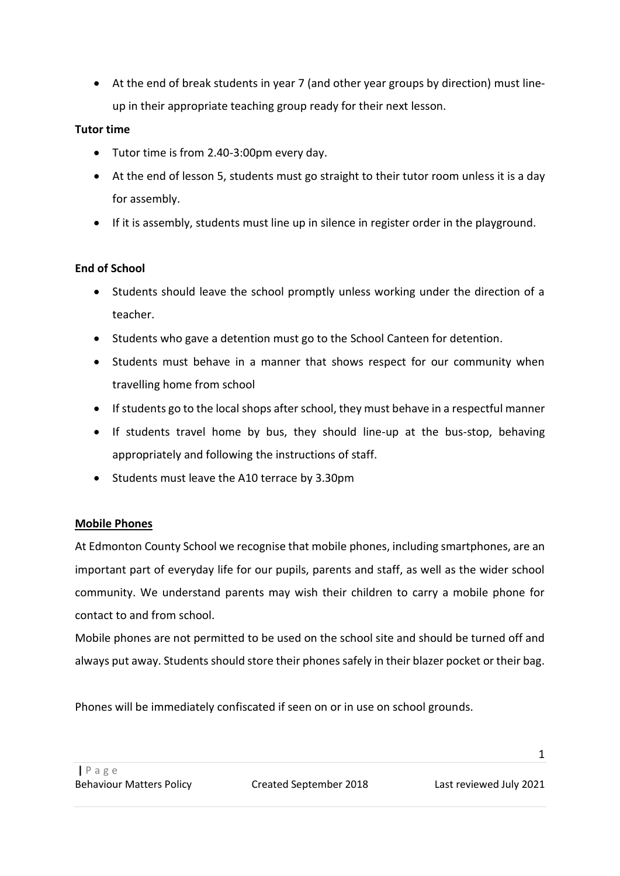• At the end of break students in year 7 (and other year groups by direction) must lineup in their appropriate teaching group ready for their next lesson.

## **Tutor time**

- Tutor time is from 2.40-3:00pm every day.
- At the end of lesson 5, students must go straight to their tutor room unless it is a day for assembly.
- If it is assembly, students must line up in silence in register order in the playground.

## **End of School**

- Students should leave the school promptly unless working under the direction of a teacher.
- Students who gave a detention must go to the School Canteen for detention.
- Students must behave in a manner that shows respect for our community when travelling home from school
- If students go to the local shops after school, they must behave in a respectful manner
- If students travel home by bus, they should line-up at the bus-stop, behaving appropriately and following the instructions of staff.
- Students must leave the A10 terrace by 3.30pm

## **Mobile Phones**

At Edmonton County School we recognise that mobile phones, including smartphones, are an important part of everyday life for our pupils, parents and staff, as well as the wider school community. We understand parents may wish their children to carry a mobile phone for contact to and from school.

Mobile phones are not permitted to be used on the school site and should be turned off and always put away. Students should store their phones safely in their blazer pocket or their bag.

Phones will be immediately confiscated if seen on or in use on school grounds.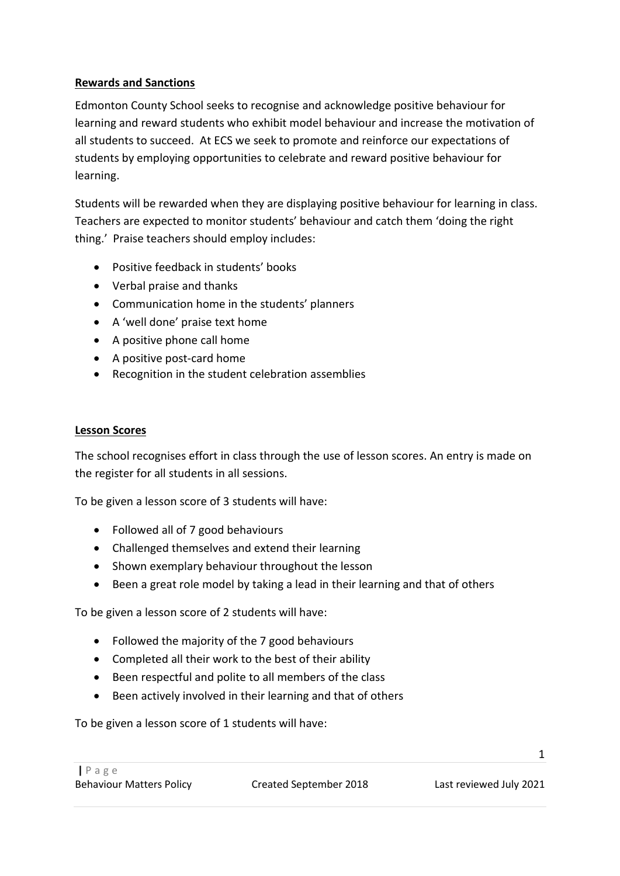## **Rewards and Sanctions**

Edmonton County School seeks to recognise and acknowledge positive behaviour for learning and reward students who exhibit model behaviour and increase the motivation of all students to succeed. At ECS we seek to promote and reinforce our expectations of students by employing opportunities to celebrate and reward positive behaviour for learning.

Students will be rewarded when they are displaying positive behaviour for learning in class. Teachers are expected to monitor students' behaviour and catch them 'doing the right thing.' Praise teachers should employ includes:

- Positive feedback in students' books
- Verbal praise and thanks
- Communication home in the students' planners
- A 'well done' praise text home
- A positive phone call home
- A positive post-card home
- Recognition in the student celebration assemblies

### **Lesson Scores**

The school recognises effort in class through the use of lesson scores. An entry is made on the register for all students in all sessions.

To be given a lesson score of 3 students will have:

- Followed all of 7 good behaviours
- Challenged themselves and extend their learning
- Shown exemplary behaviour throughout the lesson
- Been a great role model by taking a lead in their learning and that of others

To be given a lesson score of 2 students will have:

- Followed the majority of the 7 good behaviours
- Completed all their work to the best of their ability
- Been respectful and polite to all members of the class
- Been actively involved in their learning and that of others

To be given a lesson score of 1 students will have: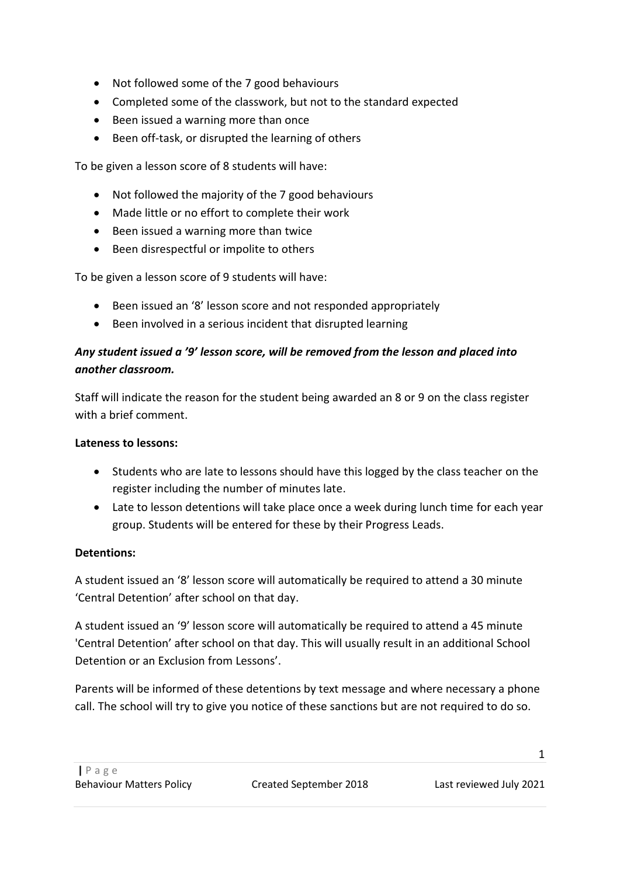- Not followed some of the 7 good behaviours
- Completed some of the classwork, but not to the standard expected
- Been issued a warning more than once
- Been off-task, or disrupted the learning of others

To be given a lesson score of 8 students will have:

- Not followed the majority of the 7 good behaviours
- Made little or no effort to complete their work
- Been issued a warning more than twice
- Been disrespectful or impolite to others

To be given a lesson score of 9 students will have:

- Been issued an '8' lesson score and not responded appropriately
- Been involved in a serious incident that disrupted learning

# *Any student issued a '9' lesson score, will be removed from the lesson and placed into another classroom.*

Staff will indicate the reason for the student being awarded an 8 or 9 on the class register with a brief comment.

## **Lateness to lessons:**

- Students who are late to lessons should have this logged by the class teacher on the register including the number of minutes late.
- Late to lesson detentions will take place once a week during lunch time for each year group. Students will be entered for these by their Progress Leads.

## **Detentions:**

A student issued an '8' lesson score will automatically be required to attend a 30 minute 'Central Detention' after school on that day.

A student issued an '9' lesson score will automatically be required to attend a 45 minute 'Central Detention' after school on that day. This will usually result in an additional School Detention or an Exclusion from Lessons'.

Parents will be informed of these detentions by text message and where necessary a phone call. The school will try to give you notice of these sanctions but are not required to do so.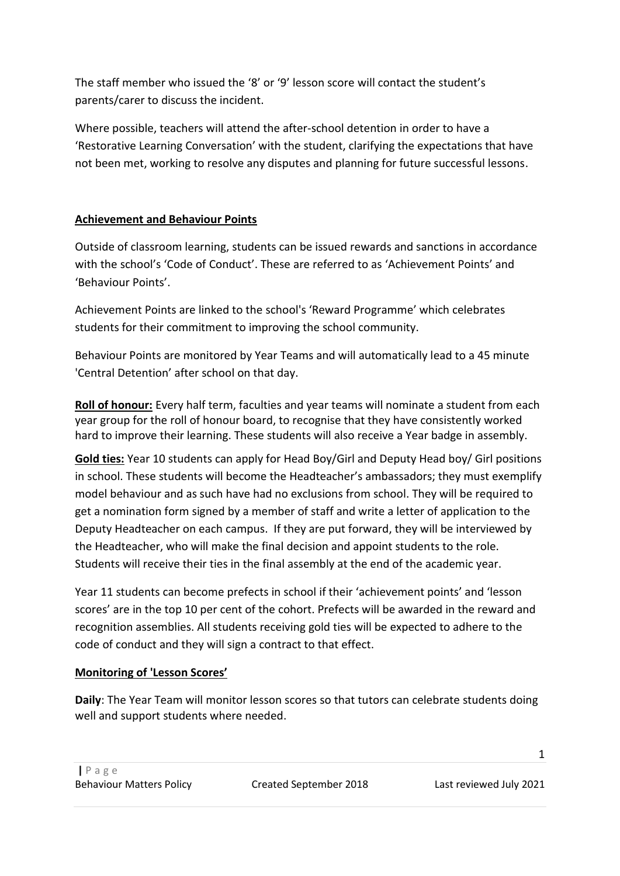The staff member who issued the '8' or '9' lesson score will contact the student's parents/carer to discuss the incident.

Where possible, teachers will attend the after-school detention in order to have a 'Restorative Learning Conversation' with the student, clarifying the expectations that have not been met, working to resolve any disputes and planning for future successful lessons.

## **Achievement and Behaviour Points**

Outside of classroom learning, students can be issued rewards and sanctions in accordance with the school's 'Code of Conduct'. These are referred to as 'Achievement Points' and 'Behaviour Points'.

Achievement Points are linked to the school's 'Reward Programme' which celebrates students for their commitment to improving the school community.

Behaviour Points are monitored by Year Teams and will automatically lead to a 45 minute 'Central Detention' after school on that day.

**Roll of honour:** Every half term, faculties and year teams will nominate a student from each year group for the roll of honour board, to recognise that they have consistently worked hard to improve their learning. These students will also receive a Year badge in assembly.

**Gold ties:** Year 10 students can apply for Head Boy/Girl and Deputy Head boy/ Girl positions in school. These students will become the Headteacher's ambassadors; they must exemplify model behaviour and as such have had no exclusions from school. They will be required to get a nomination form signed by a member of staff and write a letter of application to the Deputy Headteacher on each campus. If they are put forward, they will be interviewed by the Headteacher, who will make the final decision and appoint students to the role. Students will receive their ties in the final assembly at the end of the academic year.

Year 11 students can become prefects in school if their 'achievement points' and 'lesson scores' are in the top 10 per cent of the cohort. Prefects will be awarded in the reward and recognition assemblies. All students receiving gold ties will be expected to adhere to the code of conduct and they will sign a contract to that effect.

# **Monitoring of 'Lesson Scores'**

**Daily**: The Year Team will monitor lesson scores so that tutors can celebrate students doing well and support students where needed.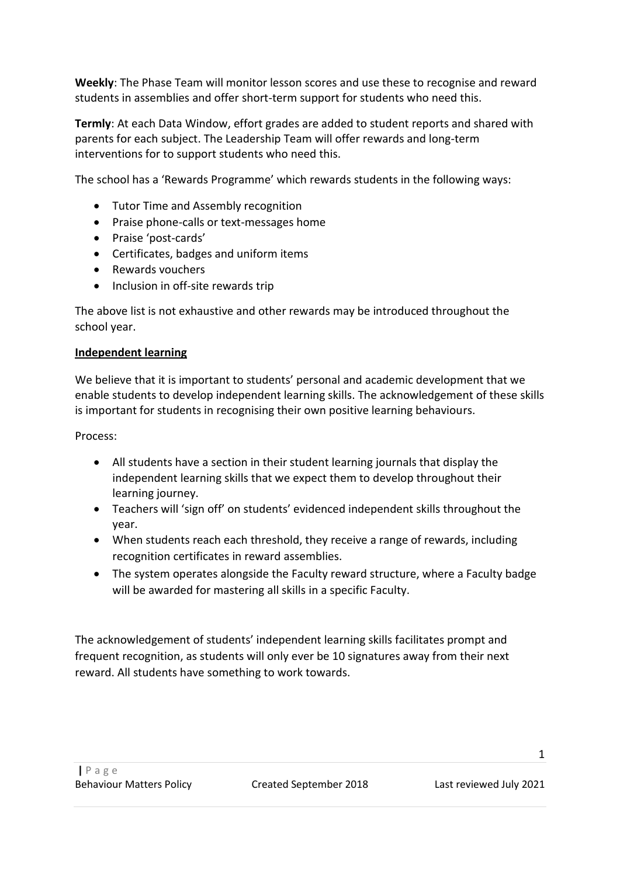**Weekly**: The Phase Team will monitor lesson scores and use these to recognise and reward students in assemblies and offer short-term support for students who need this.

**Termly**: At each Data Window, effort grades are added to student reports and shared with parents for each subject. The Leadership Team will offer rewards and long-term interventions for to support students who need this.

The school has a 'Rewards Programme' which rewards students in the following ways:

- Tutor Time and Assembly recognition
- Praise phone-calls or text-messages home
- Praise 'post-cards'
- Certificates, badges and uniform items
- Rewards vouchers
- Inclusion in off-site rewards trip

The above list is not exhaustive and other rewards may be introduced throughout the school year.

#### **Independent learning**

We believe that it is important to students' personal and academic development that we enable students to develop independent learning skills. The acknowledgement of these skills is important for students in recognising their own positive learning behaviours.

Process:

- All students have a section in their student learning journals that display the independent learning skills that we expect them to develop throughout their learning journey.
- Teachers will 'sign off' on students' evidenced independent skills throughout the year.
- When students reach each threshold, they receive a range of rewards, including recognition certificates in reward assemblies.
- The system operates alongside the Faculty reward structure, where a Faculty badge will be awarded for mastering all skills in a specific Faculty.

The acknowledgement of students' independent learning skills facilitates prompt and frequent recognition, as students will only ever be 10 signatures away from their next reward. All students have something to work towards.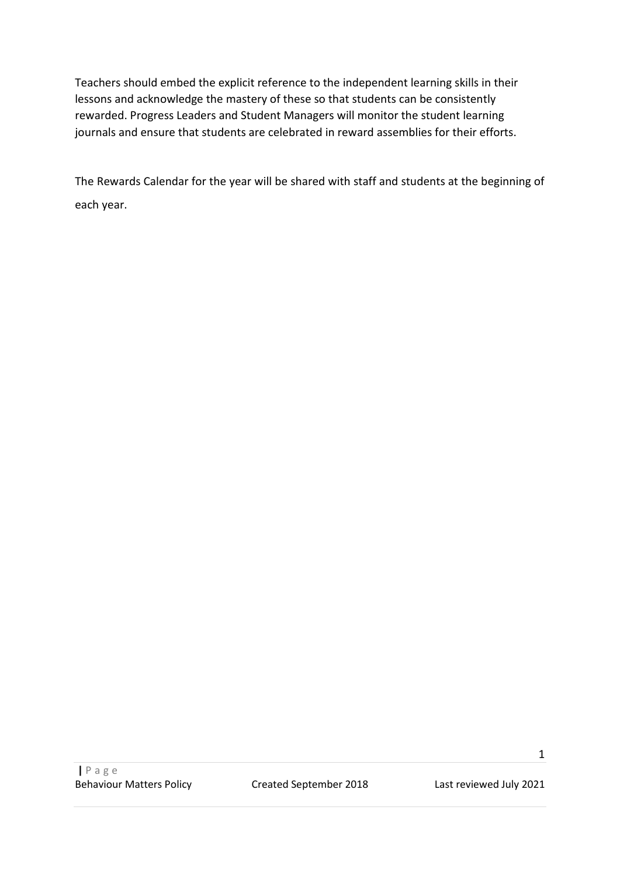Teachers should embed the explicit reference to the independent learning skills in their lessons and acknowledge the mastery of these so that students can be consistently rewarded. Progress Leaders and Student Managers will monitor the student learning journals and ensure that students are celebrated in reward assemblies for their efforts.

The Rewards Calendar for the year will be shared with staff and students at the beginning of each year.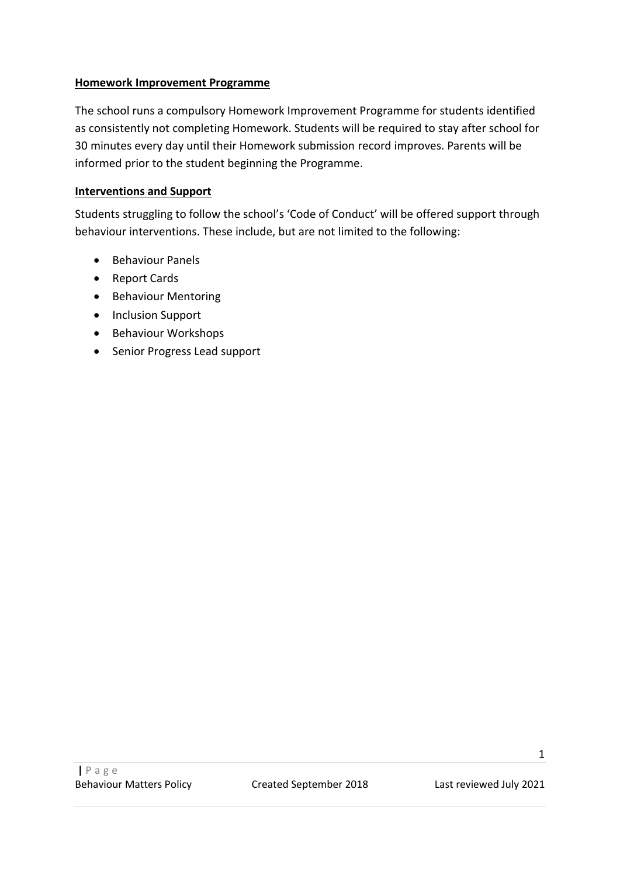#### **Homework Improvement Programme**

The school runs a compulsory Homework Improvement Programme for students identified as consistently not completing Homework. Students will be required to stay after school for 30 minutes every day until their Homework submission record improves. Parents will be informed prior to the student beginning the Programme.

### **Interventions and Support**

Students struggling to follow the school's 'Code of Conduct' will be offered support through behaviour interventions. These include, but are not limited to the following:

- Behaviour Panels
- Report Cards
- Behaviour Mentoring
- Inclusion Support
- Behaviour Workshops
- Senior Progress Lead support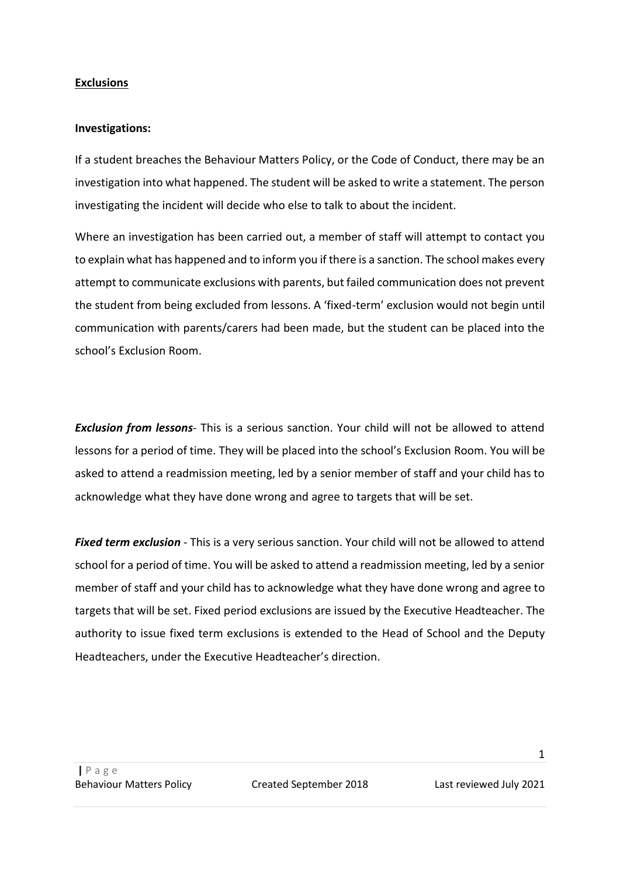#### **Exclusions**

#### **Investigations:**

If a student breaches the Behaviour Matters Policy, or the Code of Conduct, there may be an investigation into what happened. The student will be asked to write a statement. The person investigating the incident will decide who else to talk to about the incident.

Where an investigation has been carried out, a member of staff will attempt to contact you to explain what has happened and to inform you if there is a sanction. The school makes every attempt to communicate exclusions with parents, but failed communication does not prevent the student from being excluded from lessons. A 'fixed-term' exclusion would not begin until communication with parents/carers had been made, but the student can be placed into the school's Exclusion Room.

*Exclusion from lessons*- This is a serious sanction. Your child will not be allowed to attend lessons for a period of time. They will be placed into the school's Exclusion Room. You will be asked to attend a readmission meeting, led by a senior member of staff and your child has to acknowledge what they have done wrong and agree to targets that will be set.

*Fixed term exclusion* - This is a very serious sanction. Your child will not be allowed to attend school for a period of time. You will be asked to attend a readmission meeting, led by a senior member of staff and your child has to acknowledge what they have done wrong and agree to targets that will be set. Fixed period exclusions are issued by the Executive Headteacher. The authority to issue fixed term exclusions is extended to the Head of School and the Deputy Headteachers, under the Executive Headteacher's direction.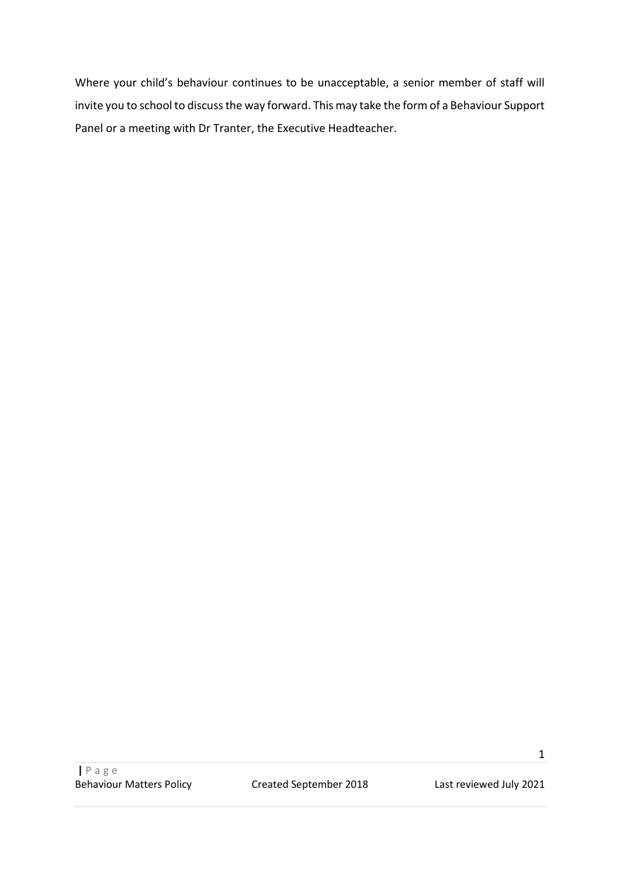Where your child's behaviour continues to be unacceptable, a senior member of staff will invite you to school to discuss the way forward. This may take the form of a Behaviour Support Panel or a meeting with Dr Tranter, the Executive Headteacher.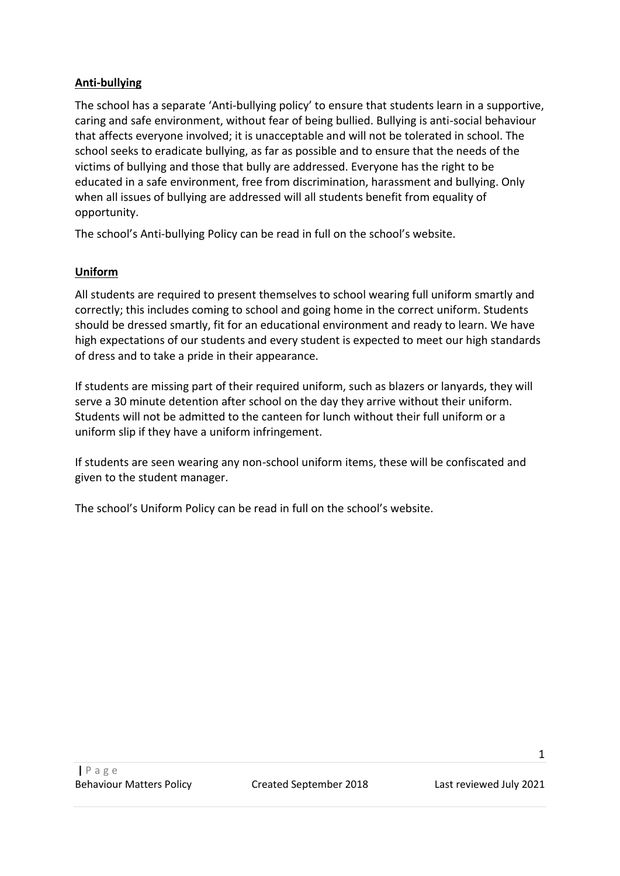### **Anti-bullying**

The school has a separate 'Anti-bullying policy' to ensure that students learn in a supportive, caring and safe environment, without fear of being bullied. Bullying is anti-social behaviour that affects everyone involved; it is unacceptable and will not be tolerated in school. The school seeks to eradicate bullying, as far as possible and to ensure that the needs of the victims of bullying and those that bully are addressed. Everyone has the right to be educated in a safe environment, free from discrimination, harassment and bullying. Only when all issues of bullying are addressed will all students benefit from equality of opportunity.

The school's Anti-bullying Policy can be read in full on the school's website.

### **Uniform**

All students are required to present themselves to school wearing full uniform smartly and correctly; this includes coming to school and going home in the correct uniform. Students should be dressed smartly, fit for an educational environment and ready to learn. We have high expectations of our students and every student is expected to meet our high standards of dress and to take a pride in their appearance.

If students are missing part of their required uniform, such as blazers or lanyards, they will serve a 30 minute detention after school on the day they arrive without their uniform. Students will not be admitted to the canteen for lunch without their full uniform or a uniform slip if they have a uniform infringement.

If students are seen wearing any non-school uniform items, these will be confiscated and given to the student manager.

The school's Uniform Policy can be read in full on the school's website.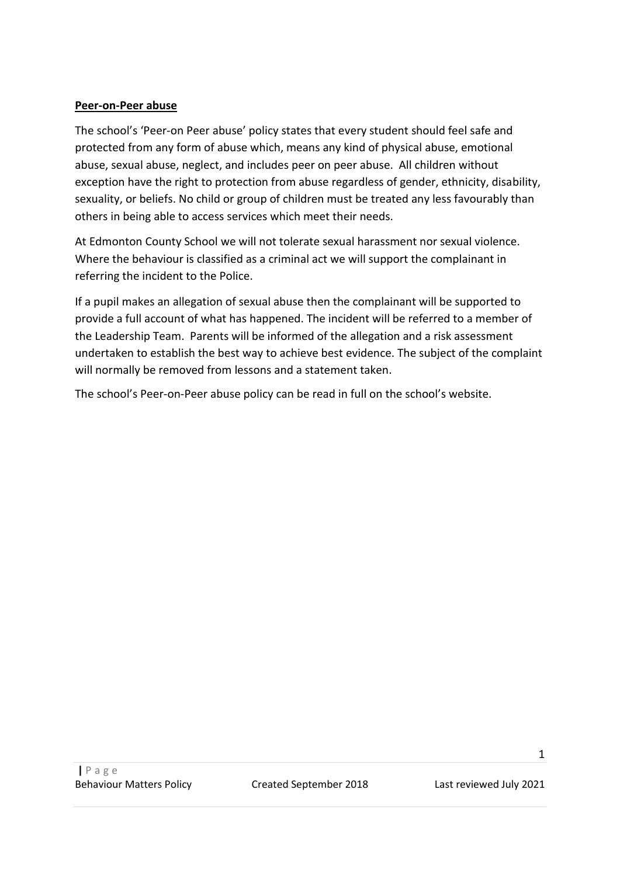#### **Peer-on-Peer abuse**

The school's 'Peer-on Peer abuse' policy states that every student should feel safe and protected from any form of abuse which, means any kind of physical abuse, emotional abuse, sexual abuse, neglect, and includes peer on peer abuse. All children without exception have the right to protection from abuse regardless of gender, ethnicity, disability, sexuality, or beliefs. No child or group of children must be treated any less favourably than others in being able to access services which meet their needs.

At Edmonton County School we will not tolerate sexual harassment nor sexual violence. Where the behaviour is classified as a criminal act we will support the complainant in referring the incident to the Police.

If a pupil makes an allegation of sexual abuse then the complainant will be supported to provide a full account of what has happened. The incident will be referred to a member of the Leadership Team. Parents will be informed of the allegation and a risk assessment undertaken to establish the best way to achieve best evidence. The subject of the complaint will normally be removed from lessons and a statement taken.

The school's Peer-on-Peer abuse policy can be read in full on the school's website.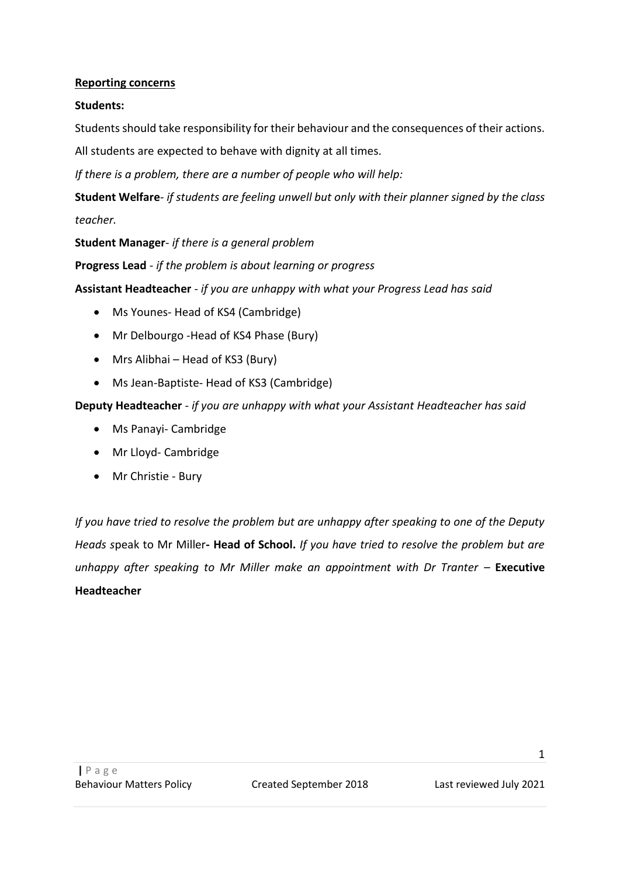### **Reporting concerns**

### **Students:**

Students should take responsibility for their behaviour and the consequences of their actions.

All students are expected to behave with dignity at all times.

*If there is a problem, there are a number of people who will help:*

**Student Welfare**- *if students are feeling unwell but only with their planner signed by the class teacher.*

**Student Manager**- *if there is a general problem*

**Progress Lead** - *if the problem is about learning or progress*

**Assistant Headteacher** - *if you are unhappy with what your Progress Lead has said*

- Ms Younes- Head of KS4 (Cambridge)
- Mr Delbourgo -Head of KS4 Phase (Bury)
- Mrs Alibhai Head of KS3 (Bury)
- Ms Jean-Baptiste- Head of KS3 (Cambridge)

**Deputy Headteacher** - *if you are unhappy with what your Assistant Headteacher has said*

- Ms Panayi- Cambridge
- Mr Lloyd- Cambridge
- Mr Christie Bury

*If you have tried to resolve the problem but are unhappy after speaking to one of the Deputy Heads s*peak to Mr Miller**- Head of School.** *If you have tried to resolve the problem but are unhappy after speaking to Mr Miller make an appointment with Dr Tranter - Executive* **Headteacher**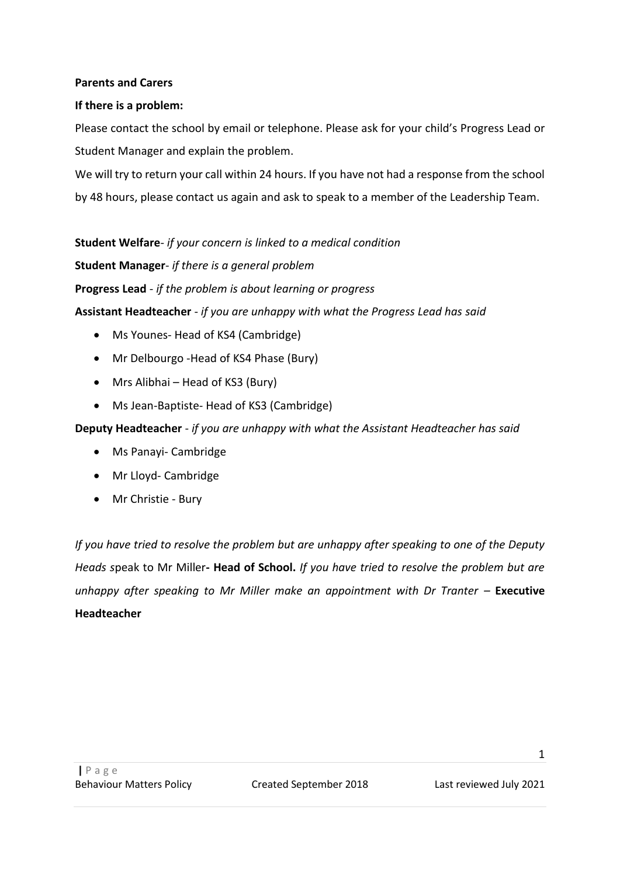#### **Parents and Carers**

#### **If there is a problem:**

Please contact the school by email or telephone. Please ask for your child's Progress Lead or Student Manager and explain the problem.

We will try to return your call within 24 hours. If you have not had a response from the school by 48 hours, please contact us again and ask to speak to a member of the Leadership Team.

**Student Welfare**- *if your concern is linked to a medical condition*

**Student Manager**- *if there is a general problem*

**Progress Lead** - *if the problem is about learning or progress*

**Assistant Headteacher** - *if you are unhappy with what the Progress Lead has said*

- Ms Younes- Head of KS4 (Cambridge)
- Mr Delbourgo -Head of KS4 Phase (Bury)
- Mrs Alibhai Head of KS3 (Bury)
- Ms Jean-Baptiste- Head of KS3 (Cambridge)

**Deputy Headteacher** - *if you are unhappy with what the Assistant Headteacher has said*

- Ms Panayi- Cambridge
- Mr Lloyd- Cambridge
- Mr Christie Bury

*If you have tried to resolve the problem but are unhappy after speaking to one of the Deputy Heads s*peak to Mr Miller**- Head of School.** *If you have tried to resolve the problem but are unhappy after speaking to Mr Miller make an appointment with Dr Tranter – Executive* **Headteacher**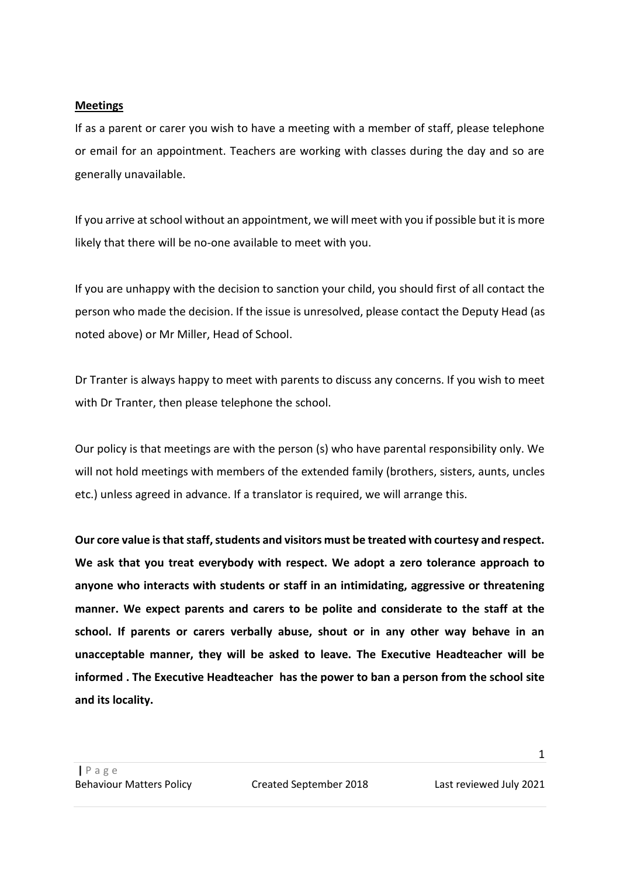#### **Meetings**

If as a parent or carer you wish to have a meeting with a member of staff, please telephone or email for an appointment. Teachers are working with classes during the day and so are generally unavailable.

If you arrive at school without an appointment, we will meet with you if possible but it is more likely that there will be no-one available to meet with you.

If you are unhappy with the decision to sanction your child, you should first of all contact the person who made the decision. If the issue is unresolved, please contact the Deputy Head (as noted above) or Mr Miller, Head of School.

Dr Tranter is always happy to meet with parents to discuss any concerns. If you wish to meet with Dr Tranter, then please telephone the school.

Our policy is that meetings are with the person (s) who have parental responsibility only. We will not hold meetings with members of the extended family (brothers, sisters, aunts, uncles etc.) unless agreed in advance. If a translator is required, we will arrange this.

**Our core value is that staff, students and visitors must be treated with courtesy and respect. We ask that you treat everybody with respect. We adopt a zero tolerance approach to anyone who interacts with students or staff in an intimidating, aggressive or threatening manner. We expect parents and carers to be polite and considerate to the staff at the school. If parents or carers verbally abuse, shout or in any other way behave in an unacceptable manner, they will be asked to leave. The Executive Headteacher will be informed . The Executive Headteacher has the power to ban a person from the school site and its locality.**